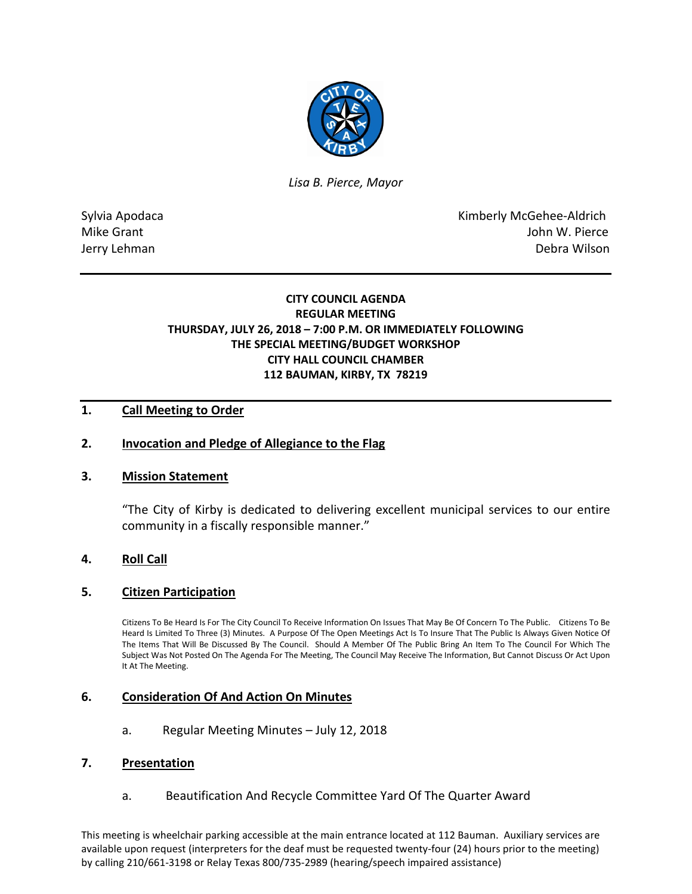

*Lisa B. Pierce, Mayor* 

Sylvia Apodaca National According Control of American Control of Kimberly McGehee-Aldrich Mike Grant **John W. Pierce** Jerry Lehman Debra Wilson

# **CITY COUNCIL AGENDA REGULAR MEETING THURSDAY, JULY 26, 2018 – 7:00 P.M. OR IMMEDIATELY FOLLOWING THE SPECIAL MEETING/BUDGET WORKSHOP CITY HALL COUNCIL CHAMBER 112 BAUMAN, KIRBY, TX 78219**

## **1. Call Meeting to Order**

### **2. Invocation and Pledge of Allegiance to the Flag**

#### **3. Mission Statement**

"The City of Kirby is dedicated to delivering excellent municipal services to our entire community in a fiscally responsible manner."

## **4. Roll Call**

#### **5. Citizen Participation**

Citizens To Be Heard Is For The City Council To Receive Information On Issues That May Be Of Concern To The Public. Citizens To Be Heard Is Limited To Three (3) Minutes. A Purpose Of The Open Meetings Act Is To Insure That The Public Is Always Given Notice Of The Items That Will Be Discussed By The Council. Should A Member Of The Public Bring An Item To The Council For Which The Subject Was Not Posted On The Agenda For The Meeting, The Council May Receive The Information, But Cannot Discuss Or Act Upon It At The Meeting.

#### **6. Consideration Of And Action On Minutes**

a. Regular Meeting Minutes – July 12, 2018

#### **7. Presentation**

a. Beautification And Recycle Committee Yard Of The Quarter Award

This meeting is wheelchair parking accessible at the main entrance located at 112 Bauman. Auxiliary services are available upon request (interpreters for the deaf must be requested twenty-four (24) hours prior to the meeting) by calling 210/661-3198 or Relay Texas 800/735-2989 (hearing/speech impaired assistance)